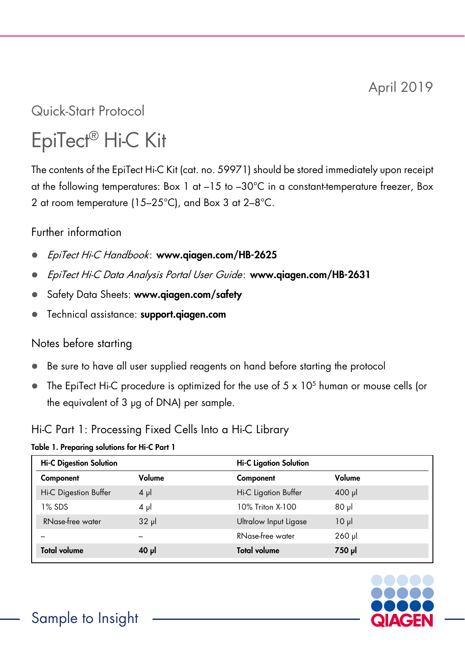April 2019

Quick-Start Protocol

# EpiTect® Hi-C Kit

The contents of the EpiTect Hi-C Kit (cat. no. 59971) should be stored immediately upon receipt at the following temperatures: Box 1 at  $-15$  to  $-30^{\circ}$ C in a constant-temperature freezer, Box 2 at room temperature (15–25°C), and Box 3 at 2–8°C.

#### Further information

- EpiTect Hi-C Handbook: www.qiagen.com/HB-2625
- EpiTect Hi-C Data Analysis Portal User Guide: www.qiagen.com/HB-2631
- Safety Data Sheets: www.qiagen.com/safety
- Technical assistance: support.giagen.com

#### Notes before starting

- Be sure to have all user supplied reagents on hand before starting the protocol
- $\bullet$  The EpiTect Hi-C procedure is optimized for the use of 5 x 10<sup>5</sup> human or mouse cells (or the equivalent of 3 µg of DNA) per sample.

### Hi-C Part 1: Processing Fixed Cells Into a Hi-C Library

#### Table 1. Preparing solutions for Hi-C Part 1

| <b>Hi-C Digestion Solution</b> |          | <b>Hi-C Ligation Solution</b> |                |  |
|--------------------------------|----------|-------------------------------|----------------|--|
| Component                      | Volume   | Component                     | Volume         |  |
| Hi-C Digestion Buffer          | $4 \mu$  | <b>Hi-C Ligation Buffer</b>   | $400$ $\mu$    |  |
| 1% SDS                         | $4 \mu$  | 10% Triton X-100              | 1 <sub>u</sub> |  |
| RNase-free water               | $32 \mu$ | Ultralow Input Ligase         | $10 \mu$       |  |
|                                |          | RNase-free water              | $260$ $\mu$    |  |
| <b>Total volume</b>            | 40 µ     | <b>Total volume</b>           | 750 µl         |  |

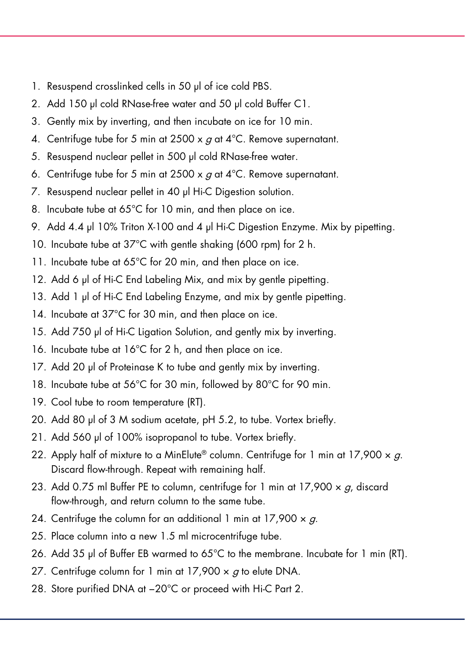- 1. Resuspend crosslinked cells in 50 µl of ice cold PBS.
- 2. Add 150 µl cold RNase-free water and 50 µl cold Buffer C1.
- 3. Gently mix by inverting, and then incubate on ice for 10 min.
- 4. Centrifuge tube for 5 min at 2500 x  $g$  at 4°C. Remove supernatant.
- 5. Resuspend nuclear pellet in 500 µl cold RNase-free water.
- 6. Centrifuge tube for 5 min at 2500 x  $q$  at 4°C. Remove supernatant.
- 7. Resuspend nuclear pellet in 40 µl Hi-C Digestion solution.
- 8. Incubate tube at 65°C for 10 min, and then place on ice.
- 9. Add 4.4 µl 10% Triton X-100 and 4 µl Hi-C Digestion Enzyme. Mix by pipetting.
- 10. Incubate tube at 37°C with gentle shaking (600 rpm) for 2 h.
- 11. Incubate tube at 65°C for 20 min, and then place on ice.
- 12. Add 6 µl of Hi-C End Labeling Mix, and mix by gentle pipetting.
- 13. Add 1 µl of Hi-C End Labeling Enzyme, and mix by gentle pipetting.
- 14. Incubate at 37°C for 30 min, and then place on ice.
- 15. Add 750 µl of Hi-C Ligation Solution, and gently mix by inverting.
- 16. Incubate tube at 16°C for 2 h, and then place on ice.
- 17. Add 20 µl of Proteinase K to tube and gently mix by inverting.
- 18. Incubate tube at 56°C for 30 min, followed by 80°C for 90 min.
- 19. Cool tube to room temperature (RT).
- 20. Add 80 µl of 3 M sodium acetate, pH 5.2, to tube. Vortex briefly.
- 21. Add 560 µl of 100% isopropanol to tube. Vortex briefly.
- 22. Apply half of mixture to a MinElute® column. Centrifuge for 1 min at  $17,900 \times a$ . Discard flow-through. Repeat with remaining half.
- 23. Add 0.75 ml Buffer PE to column, centrifuge for 1 min at  $17,900 \times g$ , discard flow-through, and return column to the same tube.
- 24. Centrifuge the column for an additional 1 min at 17,900  $\times$  g.
- 25. Place column into a new 1.5 ml microcentrifuge tube.
- 26. Add 35 µl of Buffer EB warmed to 65°C to the membrane. Incubate for 1 min (RT).
- 27. Centrifuge column for 1 min at  $17,900 \times g$  to elute DNA.
- 28. Store purified DNA at −20°C or proceed with Hi-C Part 2.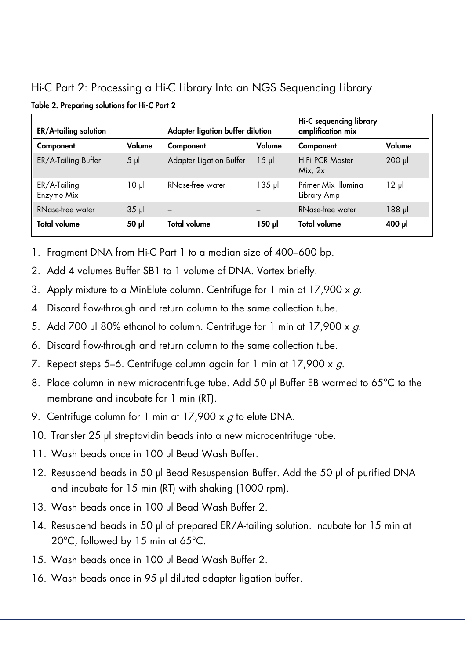## Hi-C Part 2: Processing a Hi-C Library Into an NGS Sequencing Library

| ER/A-tailing solution      |            | Adapter ligation buffer dilution |          | Hi-C sequencing library<br>amplification mix |             |
|----------------------------|------------|----------------------------------|----------|----------------------------------------------|-------------|
| Component                  | Volume     | Component                        | Volume   | Component                                    | Volume      |
| ER/A-Tailing Buffer        | $5 \mu$    | <b>Adapter Ligation Buffer</b>   | $15 \mu$ | <b>HiFi PCR Master</b><br>Mix, $2x$          | $200$ $\mu$ |
| ER/A-Tailing<br>Enzyme Mix | $10 \mu$   | RNase-free water                 | 135 թվ   | Primer Mix Illumina<br>Library Amp           | $12 \mu$    |
| RNase-free water           | $35$ $\mu$ |                                  | -        | RNase-free water                             | $188$ pl    |
| <b>Total volume</b>        | ار 50      | Total volume                     | ار 150   | Total volume                                 | 100 µl      |

- 1. Fragment DNA from Hi-C Part 1 to a median size of 400–600 bp.
- 2. Add 4 volumes Buffer SB1 to 1 volume of DNA. Vortex briefly.
- 3. Apply mixture to a MinElute column. Centrifuge for 1 min at  $17,900 \times g$ .
- 4. Discard flow-through and return column to the same collection tube.
- 5. Add 700 µl 80% ethanol to column. Centrifuge for 1 min at  $17,900 \times a$ .
- 6. Discard flow-through and return column to the same collection tube.
- 7. Repeat steps 5–6. Centrifuge column again for 1 min at  $17,900 \times g$ .
- 8. Place column in new microcentrifuge tube. Add 50 µl Buffer EB warmed to 65°C to the membrane and incubate for 1 min (RT).
- 9. Centrifuge column for 1 min at  $17,900 \times g$  to elute DNA.
- 10. Transfer 25 µl streptavidin beads into a new microcentrifuge tube.
- 11. Wash beads once in 100 µl Bead Wash Buffer.
- 12. Resuspend beads in 50 µl Bead Resuspension Buffer. Add the 50 µl of purified DNA and incubate for 15 min (RT) with shaking (1000 rpm).
- 13. Wash beads once in 100 µl Bead Wash Buffer 2.
- 14. Resuspend beads in 50 µl of prepared ER/A-tailing solution. Incubate for 15 min at 20°C, followed by 15 min at 65°C.
- 15. Wash beads once in 100 µl Bead Wash Buffer 2.
- 16. Wash beads once in 95 µl diluted adapter ligation buffer.